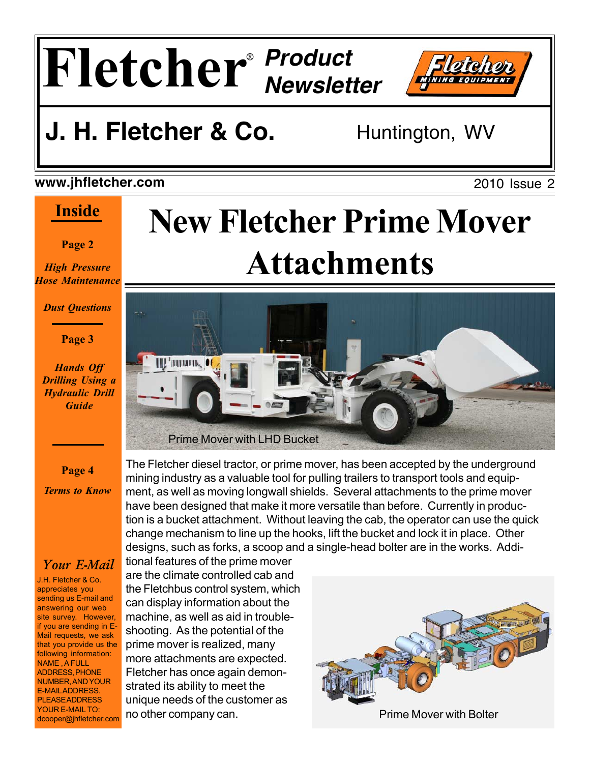



2010 Issue 2

## **J. H. Fletcher & Co.** Huntington, WV

### **www.jhfletcher.com**

## **Inside**

### **Page 2**

*High Pressure Hose Maintenance*

*Dust Questions*

### **Page 3**

*Hands Off Drilling Using a Hydraulic Drill Guide*

**Page 4** *Terms to Know*

## *Your E-Mail*

J.H. Fletcher & Co. appreciates you sending us E-mail and answering our web site survey. However, if you are sending in E-Mail requests, we ask that you provide us the following information: NAME , A FULL ADDRESS, PHONE NUMBER, AND YOUR E-MAIL ADDRESS. PLEASE ADDRESS YOUR E-MAIL TO: dcooper@jhfletcher.com

# **New Fletcher Prime Mover Attachments**



The Fletcher diesel tractor, or prime mover, has been accepted by the underground mining industry as a valuable tool for pulling trailers to transport tools and equipment, as well as moving longwall shields. Several attachments to the prime mover have been designed that make it more versatile than before. Currently in production is a bucket attachment. Without leaving the cab, the operator can use the quick change mechanism to line up the hooks, lift the bucket and lock it in place. Other designs, such as forks, a scoop and a single-head bolter are in the works. Addi-

tional features of the prime mover are the climate controlled cab and the Fletchbus control system, which can display information about the machine, as well as aid in troubleshooting. As the potential of the prime mover is realized, many more attachments are expected. Fletcher has once again demonstrated its ability to meet the unique needs of the customer as no other company can. The example of the Prime Mover with Bolter

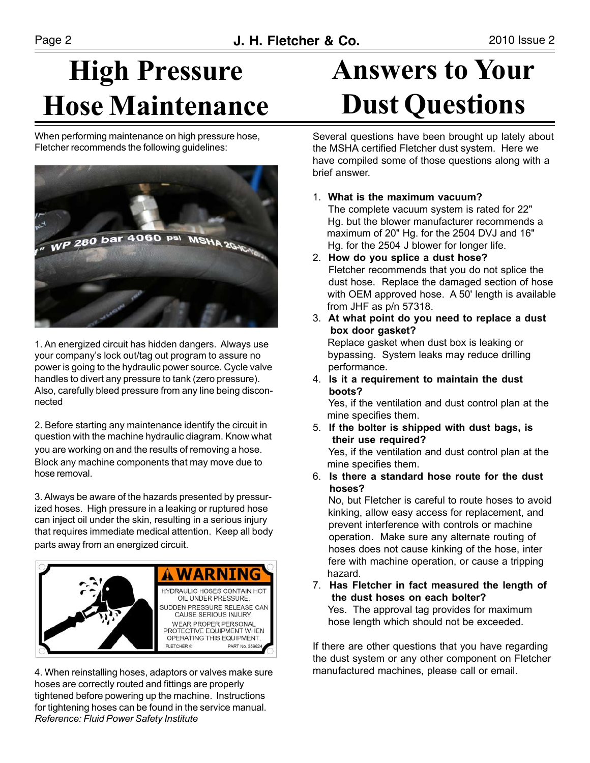# **High Pressure Hose Maintenance**

When performing maintenance on high pressure hose, Fletcher recommends the following guidelines:



1. An energized circuit has hidden dangers. Always use your company's lock out/tag out program to assure no power is going to the hydraulic power source. Cycle valve handles to divert any pressure to tank (zero pressure). Also, carefully bleed pressure from any line being disconnected

2. Before starting any maintenance identify the circuit in question with the machine hydraulic diagram. Know what you are working on and the results of removing a hose. Block any machine components that may move due to hose removal.

3. Always be aware of the hazards presented by pressurized hoses. High pressure in a leaking or ruptured hose can inject oil under the skin, resulting in a serious injury that requires immediate medical attention. Keep all body parts away from an energized circuit.



4. When reinstalling hoses, adaptors or valves make sure hoses are correctly routed and fittings are properly tightened before powering up the machine. Instructions for tightening hoses can be found in the service manual. *Reference: Fluid Power Safety Institute*

# **Answers to Your Dust Questions**

Several questions have been brought up lately about the MSHA certified Fletcher dust system. Here we have compiled some of those questions along with a brief answer.

1. **What is the maximum vacuum?**

 The complete vacuum system is rated for 22" Hg. but the blower manufacturer recommends a maximum of 20" Hg. for the 2504 DVJ and 16" Hg. for the 2504 J blower for longer life.

- 2. **How do you splice a dust hose?** Fletcher recommends that you do not splice the dust hose. Replace the damaged section of hose with OEM approved hose. A 50' length is available from JHF as p/n 57318.
- 3. **At what point do you need to replace a dust box door gasket?** Replace gasket when dust box is leaking or bypassing. System leaks may reduce drilling performance.
- 4. **Is it a requirement to maintain the dust boots?**

 Yes, if the ventilation and dust control plan at the mine specifies them.

- 5. **If the bolter is shipped with dust bags, is their use required?** Yes, if the ventilation and dust control plan at the mine specifies them.
- 6. **Is there a standard hose route for the dust hoses?**

 No, but Fletcher is careful to route hoses to avoid kinking, allow easy access for replacement, and prevent interference with controls or machine operation. Make sure any alternate routing of hoses does not cause kinking of the hose, inter fere with machine operation, or cause a tripping hazard.

7. **Has Fletcher in fact measured the length of the dust hoses on each bolter?** Yes. The approval tag provides for maximum hose length which should not be exceeded.

If there are other questions that you have regarding the dust system or any other component on Fletcher manufactured machines, please call or email.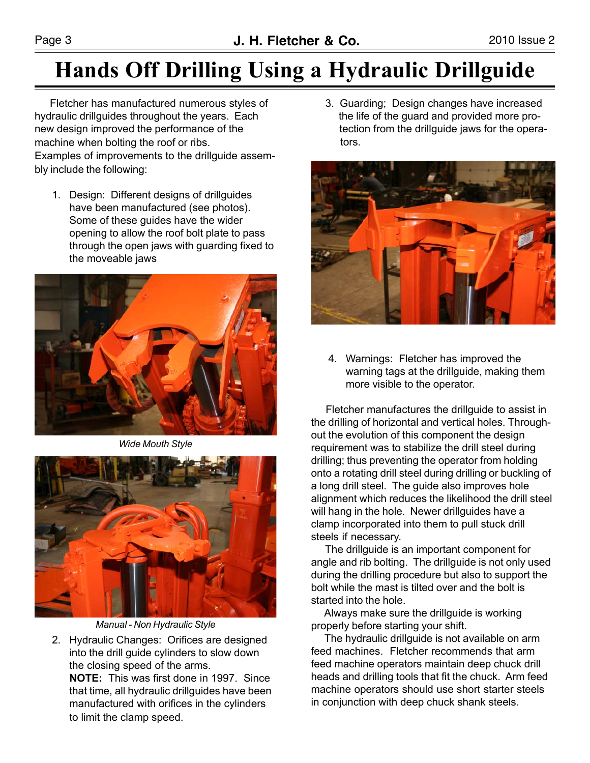## **Hands Off Drilling Using a Hydraulic Drillguide**

 Fletcher has manufactured numerous styles of hydraulic drillguides throughout the years. Each new design improved the performance of the machine when bolting the roof or ribs. Examples of improvements to the drillguide assembly include the following:

1. Design: Different designs of drillguides have been manufactured (see photos). Some of these guides have the wider opening to allow the roof bolt plate to pass through the open jaws with guarding fixed to the moveable jaws



*Wide Mouth Style*



*Manual - Non Hydraulic Style*

2. Hydraulic Changes: Orifices are designed into the drill guide cylinders to slow down the closing speed of the arms. **NOTE:** This was first done in 1997. Since that time, all hydraulic drillguides have been manufactured with orifices in the cylinders to limit the clamp speed.

 3. Guarding; Design changes have increased the life of the guard and provided more pro tection from the drillguide jaws for the opera tors.



4. Warnings: Fletcher has improved the warning tags at the drillguide, making them more visible to the operator.

 Fletcher manufactures the drillguide to assist in the drilling of horizontal and vertical holes. Throughout the evolution of this component the design requirement was to stabilize the drill steel during drilling; thus preventing the operator from holding onto a rotating drill steel during drilling or buckling of a long drill steel. The guide also improves hole alignment which reduces the likelihood the drill steel will hang in the hole. Newer drillguides have a clamp incorporated into them to pull stuck drill steels if necessary.

 The drillguide is an important component for angle and rib bolting. The drillguide is not only used during the drilling procedure but also to support the bolt while the mast is tilted over and the bolt is started into the hole.

 Always make sure the drillguide is working properly before starting your shift.

 The hydraulic drillguide is not available on arm feed machines. Fletcher recommends that arm feed machine operators maintain deep chuck drill heads and drilling tools that fit the chuck. Arm feed machine operators should use short starter steels in conjunction with deep chuck shank steels.